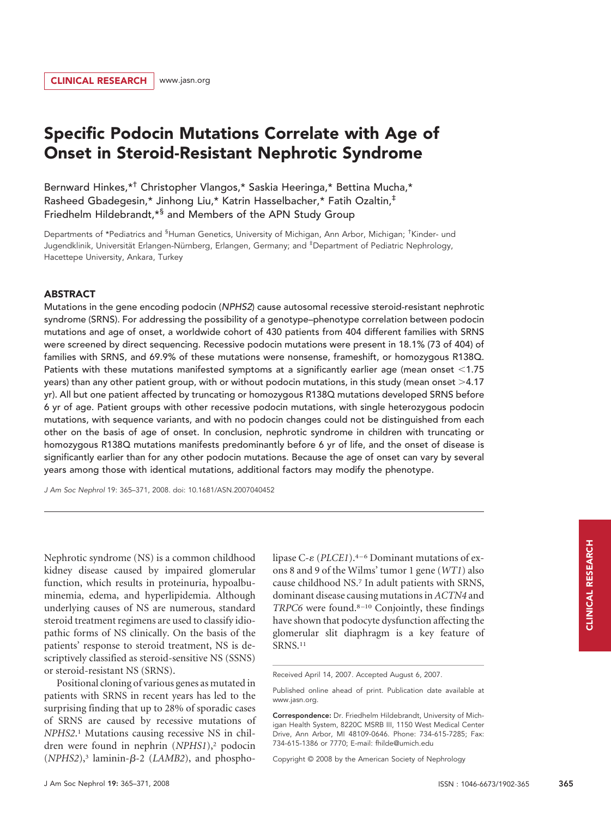### Specific Podocin Mutations Correlate with Age of Onset in Steroid-Resistant Nephrotic Syndrome

Bernward Hinkes,\*† Christopher Vlangos,\* Saskia Heeringa,\* Bettina Mucha,\* Rasheed Gbadegesin,\* Jinhong Liu,\* Katrin Hasselbacher,\* Fatih Ozaltin,‡ Friedhelm Hildebrandt,\*§ and Members of the APN Study Group

Departments of \*Pediatrics and <sup>§</sup>Human Genetics, University of Michigan, Ann Arbor, Michigan; <sup>†</sup>Kinder- und Jugendklinik, Universität Erlangen-Nürnberg, Erlangen, Germany; and <sup>‡</sup>Department of Pediatric Nephrology, Hacettepe University, Ankara, Turkey

### ABSTRACT

Mutations in the gene encoding podocin (*NPHS2*) cause autosomal recessive steroid-resistant nephrotic syndrome (SRNS). For addressing the possibility of a genotype–phenotype correlation between podocin mutations and age of onset, a worldwide cohort of 430 patients from 404 different families with SRNS were screened by direct sequencing. Recessive podocin mutations were present in 18.1% (73 of 404) of families with SRNS, and 69.9% of these mutations were nonsense, frameshift, or homozygous R138Q. Patients with these mutations manifested symptoms at a significantly earlier age (mean onset <1.75 years) than any other patient group, with or without podocin mutations, in this study (mean onset  $>\!4.17$ yr). All but one patient affected by truncating or homozygous R138Q mutations developed SRNS before 6 yr of age. Patient groups with other recessive podocin mutations, with single heterozygous podocin mutations, with sequence variants, and with no podocin changes could not be distinguished from each other on the basis of age of onset. In conclusion, nephrotic syndrome in children with truncating or homozygous R138Q mutations manifests predominantly before 6 yr of life, and the onset of disease is significantly earlier than for any other podocin mutations. Because the age of onset can vary by several years among those with identical mutations, additional factors may modify the phenotype.

*J Am Soc Nephrol* 19: 365–371, 2008. doi: 10.1681/ASN.2007040452

Nephrotic syndrome (NS) is a common childhood kidney disease caused by impaired glomerular function, which results in proteinuria, hypoalbuminemia, edema, and hyperlipidemia. Although underlying causes of NS are numerous, standard steroid treatment regimens are used to classify idiopathic forms of NS clinically. On the basis of the patients' response to steroid treatment, NS is descriptively classified as steroid-sensitive NS (SSNS) or steroid-resistant NS (SRNS).

Positional cloning of various genes as mutated in patients with SRNS in recent years has led to the surprising finding that up to 28% of sporadic cases of SRNS are caused by recessive mutations of *NPHS2*. <sup>1</sup> Mutations causing recessive NS in children were found in nephrin  $(NPHS1)$ ,<sup>2</sup> podocin  $(NPHS2)$ ,<sup>3</sup> laminin- $\beta$ -2 (*LAMB2*), and phospho-

lipase C- $\varepsilon$  (*PLCE1*).<sup>4-6</sup> Dominant mutations of exons 8 and 9 of the Wilms' tumor 1 gene (*WT1*) also cause childhood NS.7 In adult patients with SRNS, dominant disease causing mutations in *ACTN4* and *TRPC6* were found.<sup>8-10</sup> Conjointly, these findings have shown that podocyte dysfunction affecting the glomerular slit diaphragm is a key feature of SRNS.11

Copyright © 2008 by the American Society of Nephrology

Received April 14, 2007. Accepted August 6, 2007.

Published online ahead of print. Publication date available at www.jasn.org.

Correspondence: Dr. Friedhelm Hildebrandt, University of Michigan Health System, 8220C MSRB III, 1150 West Medical Center Drive, Ann Arbor, MI 48109-0646. Phone: 734-615-7285; Fax: 734-615-1386 or 7770; E-mail: fhilde@umich.edu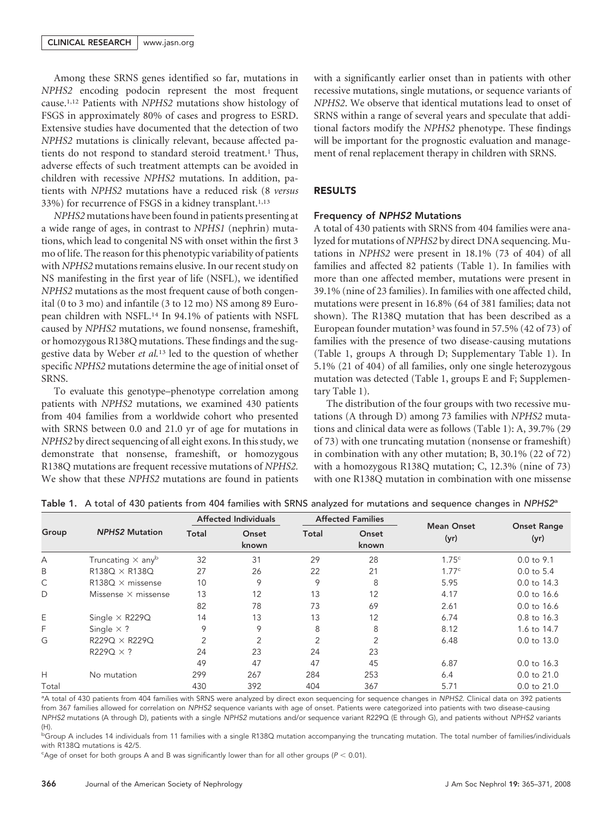Among these SRNS genes identified so far, mutations in *NPHS2* encoding podocin represent the most frequent cause.1,12 Patients with *NPHS2* mutations show histology of FSGS in approximately 80% of cases and progress to ESRD. Extensive studies have documented that the detection of two *NPHS2* mutations is clinically relevant, because affected patients do not respond to standard steroid treatment.<sup>1</sup> Thus, adverse effects of such treatment attempts can be avoided in children with recessive *NPHS2* mutations. In addition, patients with *NPHS2* mutations have a reduced risk (8 *versus* 33%) for recurrence of FSGS in a kidney transplant.<sup>1,13</sup>

*NPHS2* mutations have been found in patients presenting at a wide range of ages, in contrast to *NPHS1* (nephrin) mutations, which lead to congenital NS with onset within the first 3 mo of life. The reason for this phenotypic variability of patients with *NPHS2* mutations remains elusive. In our recent study on NS manifesting in the first year of life (NSFL), we identified *NPHS2* mutations as the most frequent cause of both congenital (0 to 3 mo) and infantile (3 to 12 mo) NS among 89 European children with NSFL.14 In 94.1% of patients with NSFL caused by *NPHS2* mutations, we found nonsense, frameshift, or homozygous R138Q mutations. These findings and the suggestive data by Weber *et al.*<sup>13</sup> led to the question of whether specific *NPHS2* mutations determine the age of initial onset of SRNS.

To evaluate this genotype–phenotype correlation among patients with *NPHS2* mutations, we examined 430 patients from 404 families from a worldwide cohort who presented with SRNS between 0.0 and 21.0 yr of age for mutations in *NPHS2* by direct sequencing of all eight exons. In this study, we demonstrate that nonsense, frameshift, or homozygous R138Q mutations are frequent recessive mutations of *NPHS2.* We show that these *NPHS2* mutations are found in patients with a significantly earlier onset than in patients with other recessive mutations, single mutations, or sequence variants of *NPHS2*. We observe that identical mutations lead to onset of SRNS within a range of several years and speculate that additional factors modify the *NPHS2* phenotype. These findings will be important for the prognostic evaluation and management of renal replacement therapy in children with SRNS.

### RESULTS

### Frequency of *NPHS2* Mutations

A total of 430 patients with SRNS from 404 families were analyzed for mutations of *NPHS2* by direct DNA sequencing. Mutations in *NPHS2* were present in 18.1% (73 of 404) of all families and affected 82 patients (Table 1). In families with more than one affected member, mutations were present in 39.1% (nine of 23 families). In families with one affected child, mutations were present in 16.8% (64 of 381 families; data not shown). The R138Q mutation that has been described as a European founder mutation<sup>3</sup> was found in 57.5% (42 of 73) of families with the presence of two disease-causing mutations (Table 1, groups A through D; Supplementary Table 1). In 5.1% (21 of 404) of all families, only one single heterozygous mutation was detected (Table 1, groups E and F; Supplementary Table 1).

The distribution of the four groups with two recessive mutations (A through D) among 73 families with *NPHS2* mutations and clinical data were as follows (Table 1): A, 39.7% (29 of 73) with one truncating mutation (nonsense or frameshift) in combination with any other mutation; B, 30.1% (22 of 72) with a homozygous R138Q mutation; C, 12.3% (nine of 73) with one R138Q mutation in combination with one missense

| Group | <b>NPHS2 Mutation</b>                | <b>Affected Individuals</b> |                | <b>Affected Families</b> |                |                           |                            |
|-------|--------------------------------------|-----------------------------|----------------|--------------------------|----------------|---------------------------|----------------------------|
|       |                                      | Total                       | Onset<br>known | Total                    | Onset<br>known | <b>Mean Onset</b><br>(yr) | <b>Onset Range</b><br>(yr) |
| A     | Truncating $\times$ any <sup>b</sup> | 32                          | 31             | 29                       | 28             | 1.75 <sup>c</sup>         | $0.0 \text{ to } 9.1$      |
| B     | $R138Q \times R138Q$                 | 27                          | 26             | 22                       | 21             | 1.77c                     | $0.0 \text{ to } 5.4$      |
| C     | $R138Q \times$ missense              | 10                          | 9              | 9                        | 8              | 5.95                      | 0.0 to 14.3                |
| D     | Missense $\times$ missense           | 13                          | 12             | 13                       | 12             | 4.17                      | 0.0 to 16.6                |
|       |                                      | 82                          | 78             | 73                       | 69             | 2.61                      | 0.0 to 16.6                |
| Ε     | Single $\times$ R229Q                | 14                          | 13             | 13                       | 12             | 6.74                      | 0.8 to 16.3                |
| F     | Single $\times$ ?                    | 9                           | 9              | 8                        | 8              | 8.12                      | 1.6 to 14.7                |
| G     | R229Q × R229Q                        | 2                           | 2              | $\overline{2}$           | 2              | 6.48                      | 0.0 to 13.0                |
|       | $R229Q \times ?$                     | 24                          | 23             | 24                       | 23             |                           |                            |
|       |                                      | 49                          | 47             | 47                       | 45             | 6.87                      | $0.0 \text{ to } 16.3$     |
| н     | No mutation                          | 299                         | 267            | 284                      | 253            | 6.4                       | 0.0 to 21.0                |
| Total |                                      | 430                         | 392            | 404                      | 367            | 5.71                      | 0.0 to 21.0                |

Table 1. A total of 430 patients from 404 families with SRNS analyzed for mutations and sequence changes in *NPHS2<sup>a</sup>* 

<sup>a</sup>A total of 430 patients from 404 families with SRNS were analyzed by direct exon sequencing for sequence changes in NPHS2. Clinical data on 392 patients from 367 families allowed for correlation on *NPHS2* sequence variants with age of onset. Patients were categorized into patients with two disease-causing *NPHS2* mutations (A through D), patients with a single *NPHS2* mutations and/or sequence variant R229Q (E through G), and patients without *NPHS2* variants (H).

<sup>b</sup>Group A includes 14 individuals from 11 families with a single R138Q mutation accompanying the truncating mutation. The total number of families/individuals with R138Q mutations is 42/5.

 $C$ Age of onset for both groups A and B was significantly lower than for all other groups ( $P < 0.01$ ).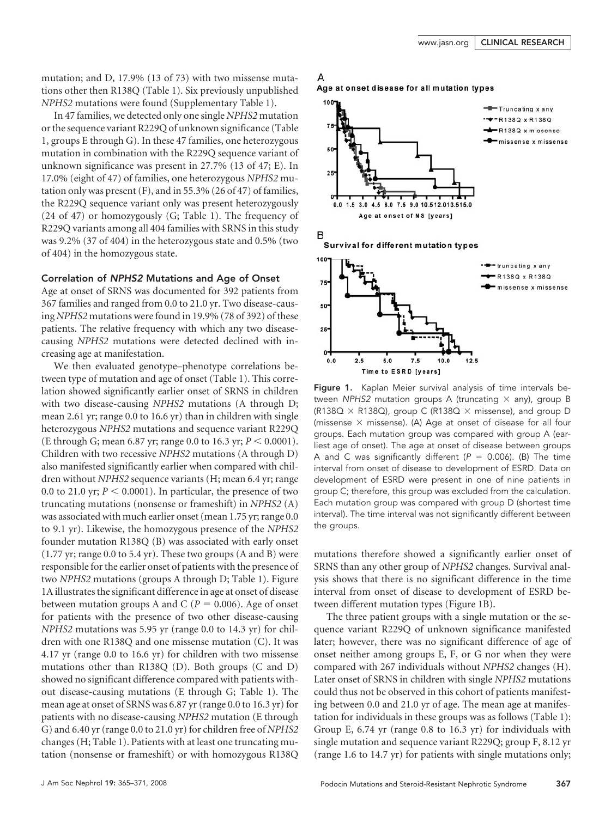mutation; and D, 17.9% (13 of 73) with two missense mutations other then R138Q (Table 1). Six previously unpublished *NPHS2* mutations were found (Supplementary Table 1).

In 47 families, we detected only one single *NPHS2* mutation or the sequence variant R229Q of unknown significance (Table 1, groups E through G). In these 47 families, one heterozygous mutation in combination with the R229Q sequence variant of unknown significance was present in 27.7% (13 of 47; E). In 17.0% (eight of 47) of families, one heterozygous *NPHS2* mutation only was present (F), and in 55.3% (26 of 47) of families, the R229Q sequence variant only was present heterozygously (24 of 47) or homozygously (G; Table 1). The frequency of R229Q variants among all 404 families with SRNS in this study was 9.2% (37 of 404) in the heterozygous state and 0.5% (two of 404) in the homozygous state.

### Correlation of *NPHS2* Mutations and Age of Onset

Age at onset of SRNS was documented for 392 patients from 367 families and ranged from 0.0 to 21.0 yr. Two disease-causing *NPHS2* mutations were found in 19.9% (78 of 392) of these patients. The relative frequency with which any two diseasecausing *NPHS2* mutations were detected declined with increasing age at manifestation.

We then evaluated genotype–phenotype correlations between type of mutation and age of onset (Table 1). This correlation showed significantly earlier onset of SRNS in children with two disease-causing *NPHS2* mutations (A through D; mean 2.61 yr; range 0.0 to 16.6 yr) than in children with single heterozygous *NPHS2* mutations and sequence variant R229Q (E through G; mean 6.87 yr; range 0.0 to 16.3 yr; *P* < 0.0001). Children with two recessive *NPHS2* mutations (A through D) also manifested significantly earlier when compared with children without *NPHS2* sequence variants (H; mean 6.4 yr; range 0.0 to 21.0 yr;  $P \le 0.0001$ ). In particular, the presence of two truncating mutations (nonsense or frameshift) in *NPHS2* (A) was associated with much earlier onset (mean 1.75 yr; range 0.0 to 9.1 yr). Likewise, the homozygous presence of the *NPHS2* founder mutation R138Q (B) was associated with early onset (1.77 yr; range 0.0 to 5.4 yr). These two groups (A and B) were responsible for the earlier onset of patients with the presence of two *NPHS2* mutations (groups A through D; Table 1). Figure 1A illustrates the significant difference in age at onset of disease between mutation groups A and C ( $P = 0.006$ ). Age of onset for patients with the presence of two other disease-causing *NPHS2* mutations was 5.95 yr (range 0.0 to 14.3 yr) for children with one R138Q and one missense mutation (C). It was 4.17 yr (range 0.0 to 16.6 yr) for children with two missense mutations other than R138Q (D). Both groups (C and D) showed no significant difference compared with patients without disease-causing mutations (E through G; Table 1). The mean age at onset of SRNS was 6.87 yr (range 0.0 to 16.3 yr) for patients with no disease-causing *NPHS2* mutation (E through G) and 6.40 yr (range 0.0 to 21.0 yr) for children free of *NPHS2* changes (H; Table 1). Patients with at least one truncating mutation (nonsense or frameshift) or with homozygous R138Q

# Age at onset disease for all mutation types



Survival for different mutation types



Figure 1. Kaplan Meier survival analysis of time intervals between *NPHS2* mutation groups A (truncating  $\times$  any), group B (R138Q  $\times$  R138Q), group C (R138Q  $\times$  missense), and group D (missense  $\times$  missense). (A) Age at onset of disease for all four groups. Each mutation group was compared with group A (earliest age of onset). The age at onset of disease between groups A and C was significantly different  $(P = 0.006)$ . (B) The time interval from onset of disease to development of ESRD. Data on development of ESRD were present in one of nine patients in group C; therefore, this group was excluded from the calculation. Each mutation group was compared with group D (shortest time interval). The time interval was not significantly different between the groups.

mutations therefore showed a significantly earlier onset of SRNS than any other group of *NPHS2* changes. Survival analysis shows that there is no significant difference in the time interval from onset of disease to development of ESRD between different mutation types (Figure 1B).

The three patient groups with a single mutation or the sequence variant R229Q of unknown significance manifested later; however, there was no significant difference of age of onset neither among groups E, F, or G nor when they were compared with 267 individuals without *NPHS2* changes (H). Later onset of SRNS in children with single *NPHS2* mutations could thus not be observed in this cohort of patients manifesting between 0.0 and 21.0 yr of age. The mean age at manifestation for individuals in these groups was as follows (Table 1): Group E, 6.74 yr (range 0.8 to 16.3 yr) for individuals with single mutation and sequence variant R229Q; group F, 8.12 yr (range 1.6 to 14.7 yr) for patients with single mutations only;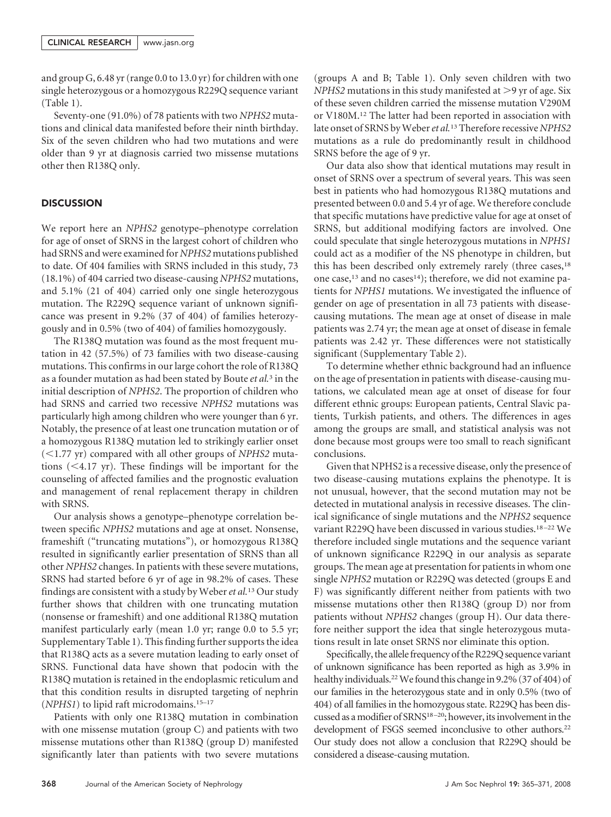and group G, 6.48 yr (range 0.0 to 13.0 yr) for children with one single heterozygous or a homozygous R229Q sequence variant (Table 1).

Seventy-one (91.0%) of 78 patients with two *NPHS2* mutations and clinical data manifested before their ninth birthday. Six of the seven children who had two mutations and were older than 9 yr at diagnosis carried two missense mutations other then R138Q only.

### **DISCUSSION**

We report here an *NPHS2* genotype–phenotype correlation for age of onset of SRNS in the largest cohort of children who had SRNS and were examined for *NPHS2* mutations published to date. Of 404 families with SRNS included in this study, 73 (18.1%) of 404 carried two disease-causing *NPHS2* mutations, and 5.1% (21 of 404) carried only one single heterozygous mutation. The R229Q sequence variant of unknown significance was present in 9.2% (37 of 404) of families heterozygously and in 0.5% (two of 404) of families homozygously.

The R138Q mutation was found as the most frequent mutation in 42 (57.5%) of 73 families with two disease-causing mutations. This confirms in our large cohort the role of R138Q as a founder mutation as had been stated by Boute *et al.*<sup>3</sup> in the initial description of *NPHS2*. The proportion of children who had SRNS and carried two recessive *NPHS2* mutations was particularly high among children who were younger than 6 yr. Notably, the presence of at least one truncation mutation or of a homozygous R138Q mutation led to strikingly earlier onset  $(<1.77 \text{ yr})$  compared with all other groups of *NPHS2* mutations  $( $4.17 \text{ yr}$ ). These findings will be important for the$ counseling of affected families and the prognostic evaluation and management of renal replacement therapy in children with SRNS.

Our analysis shows a genotype–phenotype correlation between specific *NPHS2* mutations and age at onset. Nonsense, frameshift ("truncating mutations"), or homozygous R138Q resulted in significantly earlier presentation of SRNS than all other *NPHS2* changes. In patients with these severe mutations, SRNS had started before 6 yr of age in 98.2% of cases. These findings are consistent with a study by Weber*et al.*<sup>13</sup> Our study further shows that children with one truncating mutation (nonsense or frameshift) and one additional R138Q mutation manifest particularly early (mean 1.0 yr; range 0.0 to 5.5 yr; Supplementary Table 1). This finding further supports the idea that R138Q acts as a severe mutation leading to early onset of SRNS. Functional data have shown that podocin with the R138Q mutation is retained in the endoplasmic reticulum and that this condition results in disrupted targeting of nephrin (*NPHS1*) to lipid raft microdomains.15–17

Patients with only one R138Q mutation in combination with one missense mutation (group C) and patients with two missense mutations other than R138Q (group D) manifested significantly later than patients with two severe mutations (groups A and B; Table 1). Only seven children with two *NPHS2* mutations in this study manifested at >9 yr of age. Six of these seven children carried the missense mutation V290M or V180M.12 The latter had been reported in association with late onset of SRNS by Weber*et al.*13Therefore recessive *NPHS2* mutations as a rule do predominantly result in childhood SRNS before the age of 9 yr.

Our data also show that identical mutations may result in onset of SRNS over a spectrum of several years. This was seen best in patients who had homozygous R138Q mutations and presented between 0.0 and 5.4 yr of age. We therefore conclude that specific mutations have predictive value for age at onset of SRNS, but additional modifying factors are involved. One could speculate that single heterozygous mutations in *NPHS1* could act as a modifier of the NS phenotype in children, but this has been described only extremely rarely (three cases,<sup>18</sup>) one case,<sup>13</sup> and no cases<sup>14</sup>); therefore, we did not examine patients for *NPHS1* mutations. We investigated the influence of gender on age of presentation in all 73 patients with diseasecausing mutations. The mean age at onset of disease in male patients was 2.74 yr; the mean age at onset of disease in female patients was 2.42 yr. These differences were not statistically significant (Supplementary Table 2).

To determine whether ethnic background had an influence on the age of presentation in patients with disease-causing mutations, we calculated mean age at onset of disease for four different ethnic groups: European patients, Central Slavic patients, Turkish patients, and others. The differences in ages among the groups are small, and statistical analysis was not done because most groups were too small to reach significant conclusions.

Given that NPHS2 is a recessive disease, only the presence of two disease-causing mutations explains the phenotype. It is not unusual, however, that the second mutation may not be detected in mutational analysis in recessive diseases. The clinical significance of single mutations and the *NPHS2* sequence variant R229Q have been discussed in various studies.<sup>18-22</sup> We therefore included single mutations and the sequence variant of unknown significance R229Q in our analysis as separate groups. The mean age at presentation for patients in whom one single *NPHS2* mutation or R229Q was detected (groups E and F) was significantly different neither from patients with two missense mutations other then R138Q (group D) nor from patients without *NPHS2* changes (group H). Our data therefore neither support the idea that single heterozygous mutations result in late onset SRNS nor eliminate this option.

Specifically, the allele frequency of the R229Q sequence variant of unknown significance has been reported as high as 3.9% in healthy individuals.<sup>22</sup> We found this change in 9.2% (37 of 404) of our families in the heterozygous state and in only 0.5% (two of 404) of all families in the homozygous state. R229Q has been discussed as amodifier of SRNS18 –20; however, its involvement in the development of FSGS seemed inconclusive to other authors.<sup>22</sup> Our study does not allow a conclusion that R229Q should be considered a disease-causing mutation.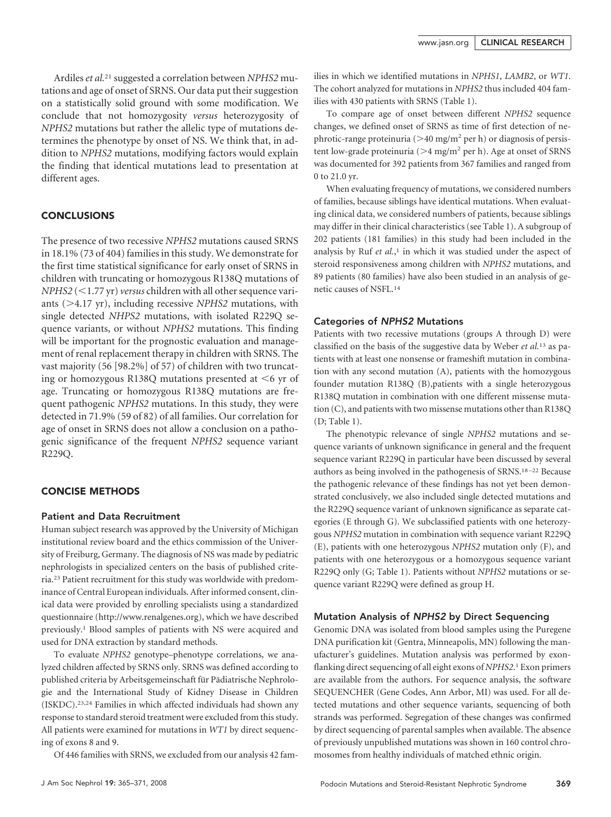Ardiles *et al.*<sup>21</sup> suggested a correlation between *NPHS2* mutations and age of onset of SRNS. Our data put their suggestion on a statistically solid ground with some modification. We conclude that not homozygosity *versus* heterozygosity of *NPHS2* mutations but rather the allelic type of mutations determines the phenotype by onset of NS. We think that, in addition to *NPHS2* mutations, modifying factors would explain the finding that identical mutations lead to presentation at different ages.

### **CONCLUSIONS**

The presence of two recessive *NPHS2* mutations caused SRNS in 18.1% (73 of 404) families in this study. We demonstrate for the first time statistical significance for early onset of SRNS in children with truncating or homozygous R138Q mutations of  $NPHS2 \, (<1.77 \, \text{yr})$  *versus* children with all other sequence variants (>4.17 yr), including recessive *NPHS2* mutations, with single detected *NHPS2* mutations, with isolated R229Q sequence variants, or without *NPHS2* mutations. This finding will be important for the prognostic evaluation and management of renal replacement therapy in children with SRNS. The vast majority (56 [98.2%] of 57) of children with two truncating or homozygous R138Q mutations presented at  $<6$  yr of age. Truncating or homozygous R138Q mutations are frequent pathogenic *NPHS2* mutations. In this study, they were detected in 71.9% (59 of 82) of all families. Our correlation for age of onset in SRNS does not allow a conclusion on a pathogenic significance of the frequent *NPHS2* sequence variant R229Q.

### CONCISE METHODS

#### Patient and Data Recruitment

Human subject research was approved by the University of Michigan institutional review board and the ethics commission of the University of Freiburg, Germany. The diagnosis of NS was made by pediatric nephrologists in specialized centers on the basis of published criteria.23 Patient recruitment for this study was worldwide with predominance of Central European individuals. After informed consent, clinical data were provided by enrolling specialists using a standardized questionnaire (http://www.renalgenes.org), which we have described previously.1 Blood samples of patients with NS were acquired and used for DNA extraction by standard methods.

To evaluate *NPHS2* genotype–phenotype correlations, we analyzed children affected by SRNS only. SRNS was defined according to published criteria by Arbeitsgemeinschaft für Pädiatrische Nephrologie and the International Study of Kidney Disease in Children (ISKDC).23,24 Families in which affected individuals had shown any response to standard steroid treatment were excluded from this study. All patients were examined for mutations in *WT1* by direct sequencing of exons 8 and 9.

Of 446 families with SRNS, we excluded from our analysis 42 fam-

ilies in which we identified mutations in *NPHS1*, *LAMB2*, or *WT1*. The cohort analyzed for mutations in *NPHS2* thus included 404 families with 430 patients with SRNS (Table 1).

To compare age of onset between different *NPHS2* sequence changes, we defined onset of SRNS as time of first detection of nephrotic-range proteinuria ( $>$ 40 mg/m<sup>2</sup> per h) or diagnosis of persistent low-grade proteinuria ( $>$ 4 mg/m<sup>2</sup> per h). Age at onset of SRNS was documented for 392 patients from 367 families and ranged from 0 to 21.0 yr.

When evaluating frequency of mutations, we considered numbers of families, because siblings have identical mutations. When evaluating clinical data, we considered numbers of patients, because siblings may differ in their clinical characteristics (see Table 1). A subgroup of 202 patients (181 families) in this study had been included in the analysis by Ruf *et al.*, <sup>1</sup> in which it was studied under the aspect of steroid responsiveness among children with *NPHS2* mutations, and 89 patients (80 families) have also been studied in an analysis of genetic causes of NSFL.14

### Categories of *NPHS2* Mutations

Patients with two recessive mutations (groups A through D) were classified on the basis of the suggestive data by Weber *et al.*<sup>13</sup> as patients with at least one nonsense or frameshift mutation in combination with any second mutation (A), patients with the homozygous founder mutation R138Q (B),patients with a single heterozygous R138Q mutation in combination with one different missense mutation (C), and patients with two missense mutations other than R138Q (D; Table 1).

The phenotypic relevance of single *NPHS2* mutations and sequence variants of unknown significance in general and the frequent sequence variant R229Q in particular have been discussed by several authors as being involved in the pathogenesis of SRNS.<sup>18-22</sup> Because the pathogenic relevance of these findings has not yet been demonstrated conclusively, we also included single detected mutations and the R229Q sequence variant of unknown significance as separate categories (E through G). We subclassified patients with one heterozygous *NPHS2* mutation in combination with sequence variant R229Q (E), patients with one heterozygous *NPHS2* mutation only (F), and patients with one heterozygous or a homozygous sequence variant R229Q only (G; Table 1). Patients without *NPHS2* mutations or sequence variant R229Q were defined as group H.

#### Mutation Analysis of *NPHS2* by Direct Sequencing

Genomic DNA was isolated from blood samples using the Puregene DNA purification kit (Gentra, Minneapolis, MN) following the manufacturer's guidelines. Mutation analysis was performed by exonflanking direct sequencing of all eight exons of *NPHS2*. <sup>1</sup> Exon primers are available from the authors. For sequence analysis, the software SEQUENCHER (Gene Codes, Ann Arbor, MI) was used. For all detected mutations and other sequence variants, sequencing of both strands was performed. Segregation of these changes was confirmed by direct sequencing of parental samples when available. The absence of previously unpublished mutations was shown in 160 control chromosomes from healthy individuals of matched ethnic origin.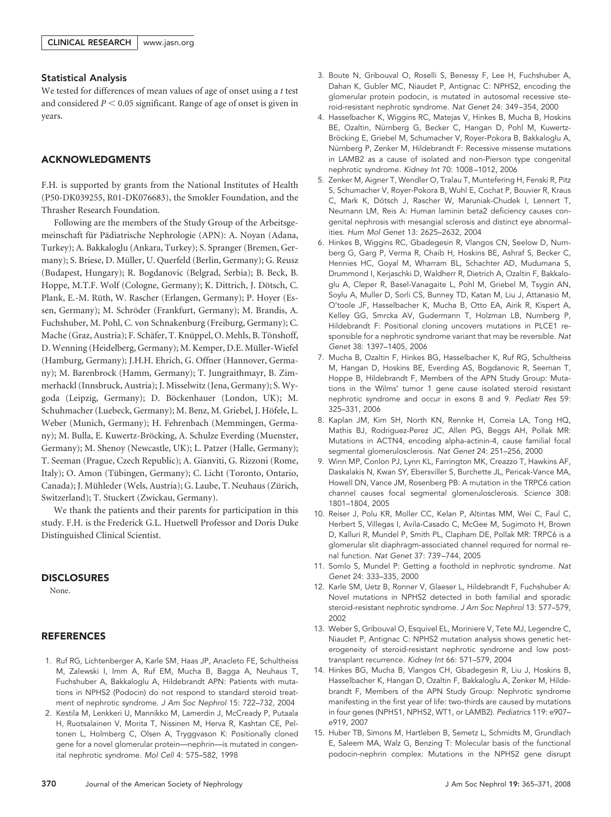### Statistical Analysis

We tested for differences of mean values of age of onset using a *t* test and considered  $P < 0.05$  significant. Range of age of onset is given in years.

### ACKNOWLEDGMENTS

F.H. is supported by grants from the National Institutes of Health (P50-DK039255, R01-DK076683), the Smokler Foundation, and the Thrasher Research Foundation.

Following are the members of the Study Group of the Arbeitsgemeinschaft für Pädiatrische Nephrologie (APN): A. Noyan (Adana, Turkey); A. Bakkaloglu (Ankara, Turkey); S. Spranger (Bremen, Germany); S. Briese, D. Müller, U. Querfeld (Berlin, Germany); G. Reusz (Budapest, Hungary); R. Bogdanovic (Belgrad, Serbia); B. Beck, B. Hoppe, M.T.F. Wolf (Cologne, Germany); K. Dittrich, J. Dötsch, C. Plank, E.-M. Rüth, W. Rascher (Erlangen, Germany); P. Hoyer (Essen, Germany); M. Schröder (Frankfurt, Germany); M. Brandis, A. Fuchshuber, M. Pohl, C. von Schnakenburg (Freiburg, Germany); C. Mache (Graz, Austria); F. Schäfer, T. Knüppel, O. Mehls, B. Tönshoff, D. Wenning (Heidelberg, Germany); M. Kemper, D.E. Müller-Wiefel (Hamburg, Germany); J.H.H. Ehrich, G. Offner (Hannover, Germany); M. Barenbrock (Hamm, Germany); T. Jungraithmayr, B. Zimmerhackl (Innsbruck, Austria); J. Misselwitz (Jena, Germany); S. Wygoda (Leipzig, Germany); D. Böckenhauer (London, UK); M. Schuhmacher (Luebeck, Germany); M. Benz, M. Griebel, J. Höfele, L. Weber (Munich, Germany); H. Fehrenbach (Memmingen, Germany); M. Bulla, E. Kuwertz-Bröcking, A. Schulze Everding (Muenster, Germany); M. Shenoy (Newcastle, UK); L. Patzer (Halle, Germany); T. Seeman (Prague, Czech Republic); A. Gianviti, G. Rizzoni (Rome, Italy); O. Amon (Tübingen, Germany); C. Licht (Toronto, Ontario, Canada); J. Mühleder (Wels, Austria); G. Laube, T. Neuhaus (Zürich, Switzerland); T. Stuckert (Zwickau, Germany).

We thank the patients and their parents for participation in this study. F.H. is the Frederick G.L. Huetwell Professor and Doris Duke Distinguished Clinical Scientist.

### **DISCLOSURES**

None.

### **REFERENCES**

- 1. Ruf RG, Lichtenberger A, Karle SM, Haas JP, Anacleto FE, Schultheiss M, Zalewski I, Imm A, Ruf EM, Mucha B, Bagga A, Neuhaus T, Fuchshuber A, Bakkaloglu A, Hildebrandt APN: Patients with mutations in NPHS2 (Podocin) do not respond to standard steroid treatment of nephrotic syndrome. *J Am Soc Nephrol* 15: 722–732, 2004
- 2. Kestila M, Lenkkeri U, Mannikko M, Lamerdin J, McCready P, Putaala H, Ruotsalainen V, Morita T, Nissinen M, Herva R, Kashtan CE, Peltonen L, Holmberg C, Olsen A, Tryggvason K: Positionally cloned gene for a novel glomerular protein—nephrin—is mutated in congenital nephrotic syndrome. *Mol Cell* 4: 575–582, 1998
- 3. Boute N, Gribouval O, Roselli S, Benessy F, Lee H, Fuchshuber A, Dahan K, Gubler MC, Niaudet P, Antignac C: NPHS2, encoding the glomerular protein podocin, is mutated in autosomal recessive steroid-resistant nephrotic syndrome. *Nat Genet* 24: 349 –354, 2000
- 4. Hasselbacher K, Wiggins RC, Matejas V, Hinkes B, Mucha B, Hoskins BE, Ozaltin, Nürnberg G, Becker C, Hangan D, Pohl M, Kuwertz-Bröcking E, Griebel M, Schumacher V, Royer-Pokora B, Bakkaloglu A, Nürnberg P, Zenker M, Hildebrandt F: Recessive missense mutations in LAMB2 as a cause of isolated and non-Pierson type congenital nephrotic syndrome. *Kidney Int* 70: 1008 –1012, 2006
- 5. Zenker M, Aigner T, Wendler O, Tralau T, Muntefering H, Fenski R, Pitz S, Schumacher V, Royer-Pokora B, Wuhl E, Cochat P, Bouvier R, Kraus C, Mark K, Dötsch J, Rascher W, Maruniak-Chudek I, Lennert T, Neumann LM, Reis A: Human laminin beta2 deficiency causes congenital nephrosis with mesangial sclerosis and distinct eye abnormalities. *Hum Mol Genet* 13: 2625–2632, 2004
- 6. Hinkes B, Wiggins RC, Gbadegesin R, Vlangos CN, Seelow D, Nurnberg G, Garg P, Verma R, Chaib H, Hoskins BE, Ashraf S, Becker C, Hennies HC, Goyal M, Wharram BL, Schachter AD, Mudumana S, Drummond I, Kerjaschki D, Waldherr R, Dietrich A, Ozaltin F, Bakkaloglu A, Cleper R, Basel-Vanagaite L, Pohl M, Griebel M, Tsygin AN, Soylu A, Muller D, Sorli CS, Bunney TD, Katan M, Liu J, Attanasio M, O'toole JF, Hasselbacher K, Mucha B, Otto EA, Airik R, Kispert A, Kelley GG, Smrcka AV, Gudermann T, Holzman LB, Nurnberg P, Hildebrandt F: Positional cloning uncovers mutations in PLCE1 responsible for a nephrotic syndrome variant that may be reversible. *Nat Genet* 38: 1397–1405, 2006
- 7. Mucha B, Ozaltin F, Hinkes BG, Hasselbacher K, Ruf RG, Schultheiss M, Hangan D, Hoskins BE, Everding AS, Bogdanovic R, Seeman T, Hoppe B, Hildebrandt F, Members of the APN Study Group: Mutations in the Wilms' tumor 1 gene cause isolated steroid resistant nephrotic syndrome and occur in exons 8 and 9. *Pediatr Res* 59: 325–331, 2006
- 8. Kaplan JM, Kim SH, North KN, Rennke H, Correia LA, Tong HQ, Mathis BJ, Rodriguez-Perez JC, Allen PG, Beggs AH, Pollak MR: Mutations in ACTN4, encoding alpha-actinin-4, cause familial focal segmental glomerulosclerosis. *Nat Genet* 24: 251–256, 2000
- 9. Winn MP, Conlon PJ, Lynn KL, Farrington MK, Creazzo T, Hawkins AF, Daskalakis N, Kwan SY, Ebersviller S, Burchette JL, Pericak-Vance MA, Howell DN, Vance JM, Rosenberg PB: A mutation in the TRPC6 cation channel causes focal segmental glomerulosclerosis. *Science* 308: 1801–1804, 2005
- 10. Reiser J, Polu KR, Moller CC, Kelan P, Altintas MM, Wei C, Faul C, Herbert S, Villegas I, Avila-Casado C, McGee M, Sugimoto H, Brown D, Kalluri R, Mundel P, Smith PL, Clapham DE, Pollak MR: TRPC6 is a glomerular slit diaphragm-associated channel required for normal renal function. *Nat Genet* 37: 739 –744, 2005
- 11. Somlo S, Mundel P: Getting a foothold in nephrotic syndrome. *Nat Genet* 24: 333–335, 2000
- 12. Karle SM, Uetz B, Ronner V, Glaeser L, Hildebrandt F, Fuchshuber A: Novel mutations in NPHS2 detected in both familial and sporadic steroid-resistant nephrotic syndrome. *J Am Soc Nephrol* 13: 577–579, 2002
- 13. Weber S, Gribouval O, Esquivel EL, Moriniere V, Tete MJ, Legendre C, Niaudet P, Antignac C: NPHS2 mutation analysis shows genetic heterogeneity of steroid-resistant nephrotic syndrome and low posttransplant recurrence. *Kidney Int* 66: 571–579, 2004
- 14. Hinkes BG, Mucha B, Vlangos CH, Gbadegesin R, Liu J, Hoskins B, Hasselbacher K, Hangan D, Ozaltin F, Bakkaloglu A, Zenker M, Hildebrandt F, Members of the APN Study Group: Nephrotic syndrome manifesting in the first year of life: two-thirds are caused by mutations in four genes (NPHS1, NPHS2, WT1, or LAMB2). *Pediatrics* 119: e907– e919, 2007
- 15. Huber TB, Simons M, Hartleben B, Semetz L, Schmidts M, Grundlach E, Saleem MA, Walz G, Benzing T: Molecular basis of the functional podocin-nephrin complex: Mutations in the NPHS2 gene disrupt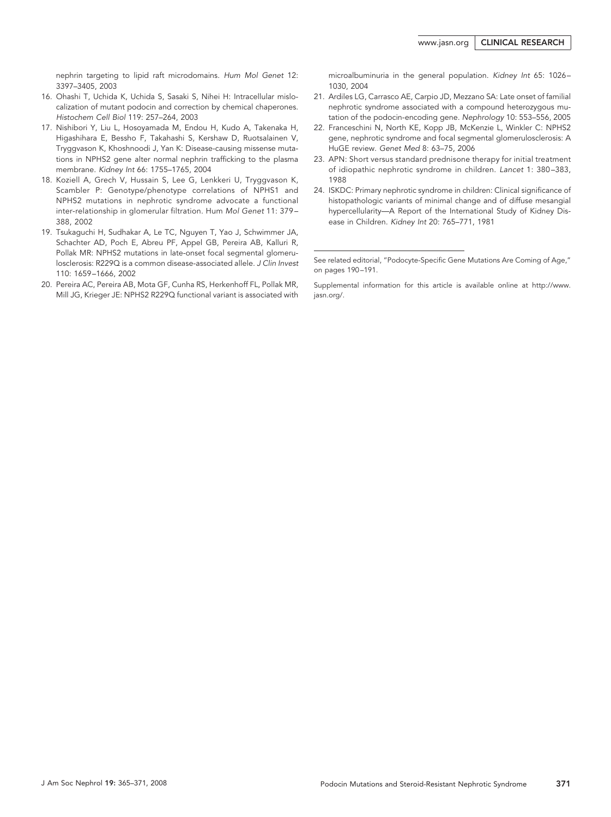nephrin targeting to lipid raft microdomains. *Hum Mol Genet* 12: 3397–3405, 2003

- 16. Ohashi T, Uchida K, Uchida S, Sasaki S, Nihei H: Intracellular mislocalization of mutant podocin and correction by chemical chaperones. *Histochem Cell Biol* 119: 257–264, 2003
- 17. Nishibori Y, Liu L, Hosoyamada M, Endou H, Kudo A, Takenaka H, Higashihara E, Bessho F, Takahashi S, Kershaw D, Ruotsalainen V, Tryggvason K, Khoshnoodi J, Yan K: Disease-causing missense mutations in NPHS2 gene alter normal nephrin trafficking to the plasma membrane. *Kidney Int* 66: 1755–1765, 2004
- 18. Koziell A, Grech V, Hussain S, Lee G, Lenkkeri U, Tryggvason K, Scambler P: Genotype/phenotype correlations of NPHS1 and NPHS2 mutations in nephrotic syndrome advocate a functional inter-relationship in glomerular filtration. Hum *Mol Genet* 11: 379 – 388, 2002
- 19. Tsukaguchi H, Sudhakar A, Le TC, Nguyen T, Yao J, Schwimmer JA, Schachter AD, Poch E, Abreu PF, Appel GB, Pereira AB, Kalluri R, Pollak MR: NPHS2 mutations in late-onset focal segmental glomerulosclerosis: R229Q is a common disease-associated allele. *J Clin Invest* 110: 1659 –1666, 2002
- 20. Pereira AC, Pereira AB, Mota GF, Cunha RS, Herkenhoff FL, Pollak MR, Mill JG, Krieger JE: NPHS2 R229Q functional variant is associated with

microalbuminuria in the general population. *Kidney Int* 65: 1026 – 1030, 2004

- 21. Ardiles LG, Carrasco AE, Carpio JD, Mezzano SA: Late onset of familial nephrotic syndrome associated with a compound heterozygous mutation of the podocin-encoding gene. *Nephrology* 10: 553–556, 2005
- 22. Franceschini N, North KE, Kopp JB, McKenzie L, Winkler C: NPHS2 gene, nephrotic syndrome and focal segmental glomerulosclerosis: A HuGE review. *Genet Med* 8: 63–75, 2006
- 23. APN: Short versus standard prednisone therapy for initial treatment of idiopathic nephrotic syndrome in children. *Lancet* 1: 380 –383, 1988
- 24. ISKDC: Primary nephrotic syndrome in children: Clinical significance of histopathologic variants of minimal change and of diffuse mesangial hypercellularity—A Report of the International Study of Kidney Disease in Children. *Kidney Int* 20: 765–771, 1981

See related editorial, "Podocyte-Specific Gene Mutations Are Coming of Age," on pages 190 –191.

Supplemental information for this article is available online at http://www. jasn.org/.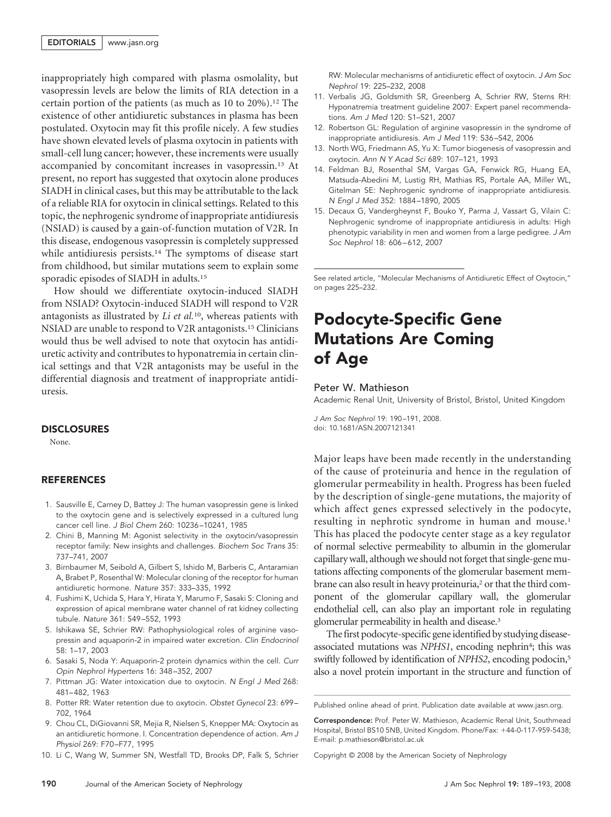inappropriately high compared with plasma osmolality, but vasopressin levels are below the limits of RIA detection in a certain portion of the patients (as much as  $10$  to  $20\%$ ).<sup>12</sup> The existence of other antidiuretic substances in plasma has been postulated. Oxytocin may fit this profile nicely. A few studies have shown elevated levels of plasma oxytocin in patients with small-cell lung cancer; however, these increments were usually accompanied by concomitant increases in vasopressin.13 At present, no report has suggested that oxytocin alone produces SIADH in clinical cases, but this may be attributable to the lack of a reliable RIA for oxytocin in clinical settings. Related to this topic, the nephrogenic syndrome of inappropriate antidiuresis (NSIAD) is caused by a gain-of-function mutation of V2R. In this disease, endogenous vasopressin is completely suppressed while antidiuresis persists.<sup>14</sup> The symptoms of disease start from childhood, but similar mutations seem to explain some sporadic episodes of SIADH in adults.15

How should we differentiate oxytocin-induced SIADH from NSIAD? Oxytocin-induced SIADH will respond to V2R antagonists as illustrated by *Li et al.*10, whereas patients with NSIAD are unable to respond to V2R antagonists.15 Clinicians would thus be well advised to note that oxytocin has antidiuretic activity and contributes to hyponatremia in certain clinical settings and that V2R antagonists may be useful in the differential diagnosis and treatment of inappropriate antidiuresis.

### **DISCLOSURES**

None.

### **REFERENCES**

- 1. Sausville E, Carney D, Battey J: The human vasopressin gene is linked to the oxytocin gene and is selectively expressed in a cultured lung cancer cell line. *J Biol Chem* 260: 10236 –10241, 1985
- 2. Chini B, Manning M: Agonist selectivity in the oxytocin/vasopressin receptor family: New insights and challenges. *Biochem Soc Trans* 35: 737–741, 2007
- 3. Birnbaumer M, Seibold A, Gilbert S, Ishido M, Barberis C, Antaramian A, Brabet P, Rosenthal W: Molecular cloning of the receptor for human antidiuretic hormone. *Nature* 357: 333–335, 1992
- 4. Fushimi K, Uchida S, Hara Y, Hirata Y, Marumo F, Sasaki S: Cloning and expression of apical membrane water channel of rat kidney collecting tubule. *Nature* 361: 549 –552, 1993
- 5. Ishikawa SE, Schrier RW: Pathophysiological roles of arginine vasopressin and aquaporin-2 in impaired water excretion. *Clin Endocrinol* 58: 1–17, 2003
- 6. Sasaki S, Noda Y: Aquaporin-2 protein dynamics within the cell. *Curr Opin Nephrol Hypertens* 16: 348 –352, 2007
- 7. Pittman JG: Water intoxication due to oxytocin. *N Engl J Med* 268: 481– 482, 1963
- 8. Potter RR: Water retention due to oxytocin. *Obstet Gynecol* 23: 699 702, 1964
- 9. Chou CL, DiGiovanni SR, Mejia R, Nielsen S, Knepper MA: Oxytocin as an antidiuretic hormone. I. Concentration dependence of action*. Am J Physiol* 269: F70 –F77, 1995
- 10. Li C, Wang W, Summer SN, Westfall TD, Brooks DP, Falk S, Schrier

RW: Molecular mechanisms of antidiuretic effect of oxytocin. *J Am Soc Nephrol* 19: 225–232, 2008

- 11. Verbalis JG, Goldsmith SR, Greenberg A, Schrier RW, Sterns RH: Hyponatremia treatment guideline 2007: Expert panel recommendations. *Am J Med* 120: S1–S21, 2007
- 12. Robertson GL: Regulation of arginine vasopressin in the syndrome of inappropriate antidiuresis. *Am J Med* 119: S36 –S42, 2006
- 13. North WG, Friedmann AS, Yu X: Tumor biogenesis of vasopressin and oxytocin. *Ann N Y Acad Sci* 689: 107–121, 1993
- 14. Feldman BJ, Rosenthal SM, Vargas GA, Fenwick RG, Huang EA, Matsuda-Abedini M, Lustig RH, Mathias RS, Portale AA, Miller WL, Gitelman SE: Nephrogenic syndrome of inappropriate antidiuresis. *N Engl J Med* 352: 1884 –1890, 2005
- 15. Decaux G, Vandergheynst F, Bouko Y, Parma J, Vassart G, Vilain C: Nephrogenic syndrome of inappropriate antidiuresis in adults: High phenotypic variability in men and women from a large pedigree. *J Am Soc Nephrol* 18: 606 – 612, 2007

See related article, "Molecular Mechanisms of Antidiuretic Effect of Oxytocin," on pages 225–232.

### Podocyte-Specific Gene Mutations Are Coming of Age

### Peter W. Mathieson

Academic Renal Unit, University of Bristol, Bristol, United Kingdom

*J Am Soc Nephrol* 19: 190 –191, 2008. doi: 10.1681/ASN.2007121341

Major leaps have been made recently in the understanding of the cause of proteinuria and hence in the regulation of glomerular permeability in health. Progress has been fueled by the description of single-gene mutations, the majority of which affect genes expressed selectively in the podocyte, resulting in nephrotic syndrome in human and mouse.<sup>1</sup> This has placed the podocyte center stage as a key regulator of normal selective permeability to albumin in the glomerular capillary wall, although we should not forget that single-gene mutations affecting components of the glomerular basement membrane can also result in heavy proteinuria,<sup>2</sup> or that the third component of the glomerular capillary wall, the glomerular endothelial cell, can also play an important role in regulating glomerular permeability in health and disease.3

The first podocyte-specific gene identified by studying diseaseassociated mutations was *NPHS1*, encoding nephrin<sup>4</sup>; this was swiftly followed by identification of *NPHS2*, encoding podocin,5 also a novel protein important in the structure and function of

Published online ahead of print. Publication date available at www.jasn.org.

Correspondence: Prof. Peter W. Mathieson, Academic Renal Unit, Southmead Hospital, Bristol BS10 5NB, United Kingdom. Phone/Fax: 44-0-117-959-5438; E-mail: p.mathieson@bristol.ac.uk

Copyright © 2008 by the American Society of Nephrology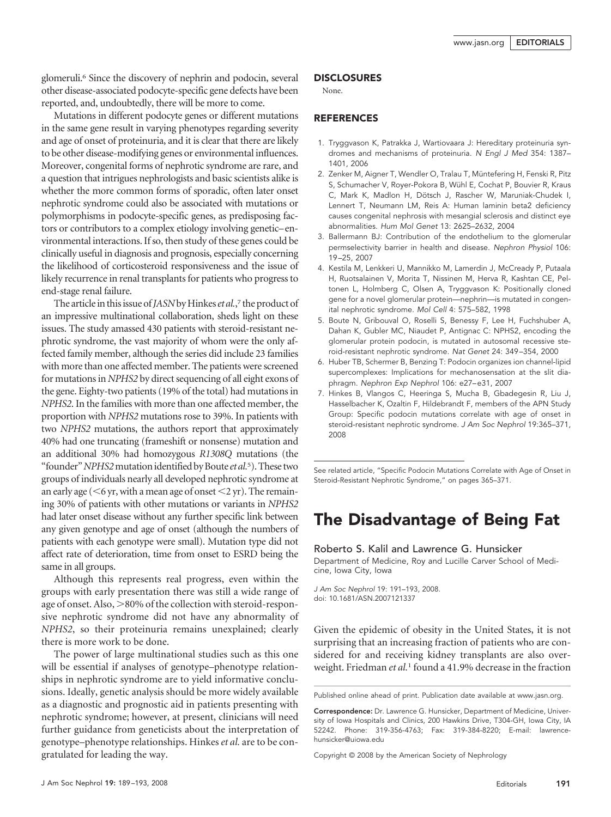glomeruli.6 Since the discovery of nephrin and podocin, several other disease-associated podocyte-specific gene defects have been reported, and, undoubtedly, there will be more to come.

Mutations in different podocyte genes or different mutations in the same gene result in varying phenotypes regarding severity and age of onset of proteinuria, and it is clear that there are likely to be other disease-modifying genes or environmental influences. Moreover, congenital forms of nephrotic syndrome are rare, and a question that intrigues nephrologists and basic scientists alike is whether the more common forms of sporadic, often later onset nephrotic syndrome could also be associated with mutations or polymorphisms in podocyte-specific genes, as predisposing factors or contributors to a complex etiology involving genetic–environmental interactions. If so, then study of these genes could be clinically useful in diagnosis and prognosis, especially concerning the likelihood of corticosteroid responsiveness and the issue of likely recurrence in renal transplants for patients who progress to end-stage renal failure.

The article in this issue of *JASN* by Hinkes *et al.*,<sup>7</sup> the product of an impressive multinational collaboration, sheds light on these issues. The study amassed 430 patients with steroid-resistant nephrotic syndrome, the vast majority of whom were the only affected family member, although the series did include 23 families with more than one affected member. The patients were screened for mutations in *NPHS2* by direct sequencing of all eight exons of the gene. Eighty-two patients (19% of the total) had mutations in *NPHS2*. In the families with more than one affected member, the proportion with *NPHS2* mutations rose to 39%. In patients with two *NPHS2* mutations, the authors report that approximately 40% had one truncating (frameshift or nonsense) mutation and an additional 30% had homozygous *R1308Q* mutations (the "founder"*NPHS2*mutationidentified by Boute *et al.*5).These two groups of individuals nearly all developed nephrotic syndrome at an early age ( $\leq$ 6 yr, with a mean age of onset  $\leq$ 2 yr). The remaining 30% of patients with other mutations or variants in *NPHS2* had later onset disease without any further specific link between any given genotype and age of onset (although the numbers of patients with each genotype were small). Mutation type did not affect rate of deterioration, time from onset to ESRD being the same in all groups.

Although this represents real progress, even within the groups with early presentation there was still a wide range of age of onset. Also,  $>80\%$  of the collection with steroid-responsive nephrotic syndrome did not have any abnormality of *NPHS2*, so their proteinuria remains unexplained; clearly there is more work to be done.

The power of large multinational studies such as this one will be essential if analyses of genotype–phenotype relationships in nephrotic syndrome are to yield informative conclusions. Ideally, genetic analysis should be more widely available as a diagnostic and prognostic aid in patients presenting with nephrotic syndrome; however, at present, clinicians will need further guidance from geneticists about the interpretation of genotype–phenotype relationships. Hinkes*et al.* are to be congratulated for leading the way.

### DISCLOSURES

None.

### **REFERENCES**

- 1. Tryggvason K, Patrakka J, Wartiovaara J: Hereditary proteinuria syndromes and mechanisms of proteinuria. *N Engl J Med* 354: 1387– 1401, 2006
- 2. Zenker M, Aigner T, Wendler O, Tralau T, Müntefering H, Fenski R, Pitz S, Schumacher V, Royer-Pokora B, Wühl E, Cochat P, Bouvier R, Kraus C, Mark K, Madlon H, Dötsch J, Rascher W, Maruniak-Chudek I, Lennert T, Neumann LM, Reis A: Human laminin beta2 deficiency causes congenital nephrosis with mesangial sclerosis and distinct eye abnormalities. *Hum Mol Genet* 13: 2625–2632, 2004
- 3. Ballermann BJ: Contribution of the endothelium to the glomerular permselectivity barrier in health and disease. *Nephron Physiol* 106: 19 –25, 2007
- 4. Kestila M, Lenkkeri U, Mannikko M, Lamerdin J, McCready P, Putaala H, Ruotsalainen V, Morita T, Nissinen M, Herva R, Kashtan CE, Peltonen L, Holmberg C, Olsen A, Tryggvason K: Positionally cloned gene for a novel glomerular protein—nephrin—is mutated in congenital nephrotic syndrome. *Mol Cell* 4: 575–582, 1998
- 5. Boute N, Gribouval O, Roselli S, Benessy F, Lee H, Fuchshuber A, Dahan K, Gubler MC, Niaudet P, Antignac C: NPHS2, encoding the glomerular protein podocin, is mutated in autosomal recessive steroid-resistant nephrotic syndrome. *Nat Genet* 24: 349 –354, 2000
- 6. Huber TB, Schermer B, Benzing T: Podocin organizes ion channel-lipid supercomplexes: Implications for mechanosensation at the slit diaphragm. Nephron Exp Nephrol 106: e27-e31, 2007
- 7. Hinkes B, Vlangos C, Heeringa S, Mucha B, Gbadegesin R, Liu J, Hasselbacher K, Ozaltin F, Hildebrandt F, members of the APN Study Group: Specific podocin mutations correlate with age of onset in steroid-resistant nephrotic syndrome. *J Am Soc Nephrol* 19:365–371, 2008

See related article, "Specific Podocin Mutations Correlate with Age of Onset in Steroid-Resistant Nephrotic Syndrome," on pages 365–371.

### The Disadvantage of Being Fat

Roberto S. Kalil and Lawrence G. Hunsicker

Department of Medicine, Roy and Lucille Carver School of Medicine, Iowa City, Iowa

*J Am Soc Nephrol* 19: 191–193, 2008. doi: 10.1681/ASN.2007121337

Given the epidemic of obesity in the United States, it is not surprising that an increasing fraction of patients who are considered for and receiving kidney transplants are also overweight. Friedman *et al.*<sup>1</sup> found a 41.9% decrease in the fraction

Published online ahead of print. Publication date available at www.jasn.org.

Copyright © 2008 by the American Society of Nephrology

Correspondence: Dr. Lawrence G. Hunsicker, Department of Medicine, University of Iowa Hospitals and Clinics, 200 Hawkins Drive, T304-GH, Iowa City, IA 52242. Phone: 319-356-4763; Fax: 319-384-8220; E-mail: lawrencehunsicker@uiowa.edu